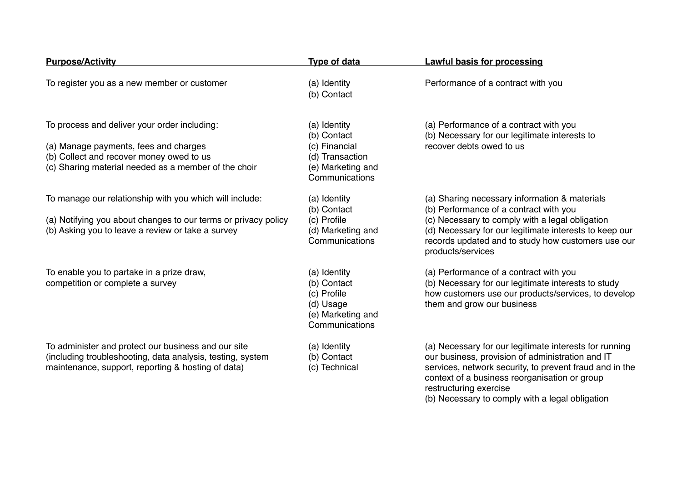| <b>Purpose/Activity</b>                                                                                                                                                                   | <b>Type of data</b>                                                                                    | <b>Lawful basis for processing</b>                                                                                                                                                                                                                                                                  |
|-------------------------------------------------------------------------------------------------------------------------------------------------------------------------------------------|--------------------------------------------------------------------------------------------------------|-----------------------------------------------------------------------------------------------------------------------------------------------------------------------------------------------------------------------------------------------------------------------------------------------------|
| To register you as a new member or customer                                                                                                                                               | (a) Identity<br>(b) Contact                                                                            | Performance of a contract with you                                                                                                                                                                                                                                                                  |
| To process and deliver your order including:<br>(a) Manage payments, fees and charges<br>(b) Collect and recover money owed to us<br>(c) Sharing material needed as a member of the choir | (a) Identity<br>(b) Contact<br>(c) Financial<br>(d) Transaction<br>(e) Marketing and<br>Communications | (a) Performance of a contract with you<br>(b) Necessary for our legitimate interests to<br>recover debts owed to us                                                                                                                                                                                 |
| To manage our relationship with you which will include:<br>(a) Notifying you about changes to our terms or privacy policy<br>(b) Asking you to leave a review or take a survey            | (a) Identity<br>(b) Contact<br>(c) Profile<br>(d) Marketing and<br>Communications                      | (a) Sharing necessary information & materials<br>(b) Performance of a contract with you<br>(c) Necessary to comply with a legal obligation<br>(d) Necessary for our legitimate interests to keep our<br>records updated and to study how customers use our<br>products/services                     |
| To enable you to partake in a prize draw,<br>competition or complete a survey                                                                                                             | (a) Identity<br>(b) Contact<br>(c) Profile<br>(d) Usage<br>(e) Marketing and<br>Communications         | (a) Performance of a contract with you<br>(b) Necessary for our legitimate interests to study<br>how customers use our products/services, to develop<br>them and grow our business                                                                                                                  |
| To administer and protect our business and our site<br>(including troubleshooting, data analysis, testing, system<br>maintenance, support, reporting & hosting of data)                   | (a) Identity<br>(b) Contact<br>(c) Technical                                                           | (a) Necessary for our legitimate interests for running<br>our business, provision of administration and IT<br>services, network security, to prevent fraud and in the<br>context of a business reorganisation or group<br>restructuring exercise<br>(b) Necessary to comply with a legal obligation |